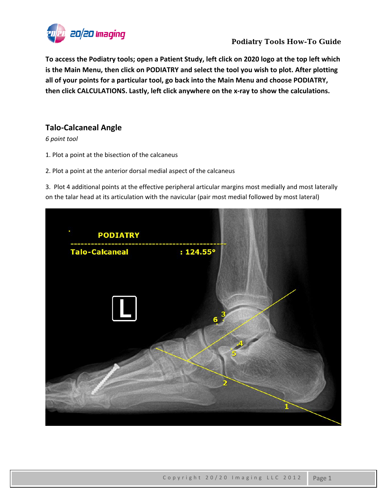

To access the Podiatry tools; open a Patient Study, left click on 2020 logo at the top left which **is the Main Menu, then click on PODIATRY and select the tool you wish to plot. After plotting all of your points for a particular tool, go back into the Main Menu and choose PODIATRY, then click CALCULATIONS. Lastly, left click anywhere on the x‐ray to show the calculations.**

## **Talo‐Calcaneal Angle**

*6 point tool*

- 1. Plot a point at the bisection of the calcaneus
- 2. Plot a point at the anterior dorsal medial aspect of the calcaneus

3. Plot 4 additional points at the effective peripheral articular margins most medially and most laterally on the talar head at its articulation with the navicular (pair most medial followed by most lateral)

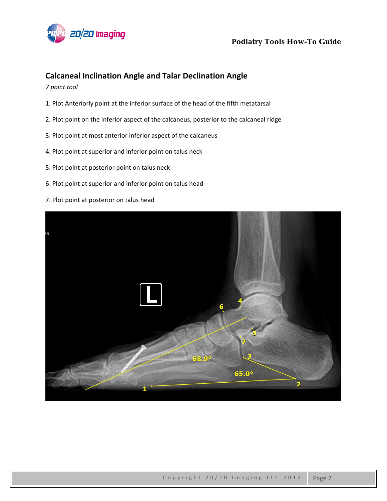

#### **Calcaneal Inclination Angle and Talar Declination Angle**

*7 point tool*

- 1. Plot Anteriorly point at the inferior surface of the head of the fifth metatarsal
- 2. Plot point on the inferior aspect of the calcaneus, posterior to the calcaneal ridge
- 3. Plot point at most anterior inferior aspect of the calcaneus
- 4. Plot point at superior and inferior point on talus neck
- 5. Plot point at posterior point on talus neck
- 6. Plot point at superior and inferior point on talus head
- 7. Plot point at posterior on talus head

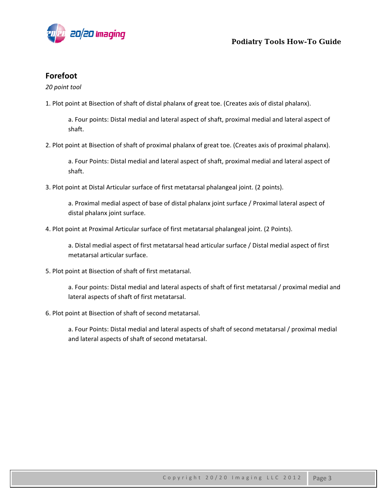

### **Forefoot**

*20 point tool*

1. Plot point at Bisection of shaft of distal phalanx of great toe. (Creates axis of distal phalanx).

a. Four points: Distal medial and lateral aspect of shaft, proximal medial and lateral aspect of shaft.

2. Plot point at Bisection of shaft of proximal phalanx of great toe. (Creates axis of proximal phalanx).

a. Four Points: Distal medial and lateral aspect of shaft, proximal medial and lateral aspect of shaft.

3. Plot point at Distal Articular surface of first metatarsal phalangeal joint. (2 points).

a. Proximal medial aspect of base of distal phalanx joint surface / Proximal lateral aspect of distal phalanx joint surface.

4. Plot point at Proximal Articular surface of first metatarsal phalangeal joint. (2 Points).

a. Distal medial aspect of first metatarsal head articular surface / Distal medial aspect of first metatarsal articular surface.

5. Plot point at Bisection of shaft of first metatarsal.

a. Four points: Distal medial and lateral aspects of shaft of first metatarsal / proximal medial and lateral aspects of shaft of first metatarsal.

6. Plot point at Bisection of shaft of second metatarsal.

a. Four Points: Distal medial and lateral aspects of shaft of second metatarsal / proximal medial and lateral aspects of shaft of second metatarsal.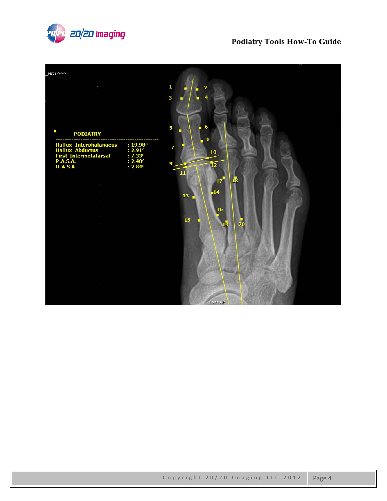

# **Podiatry Tools How-To Guide**

| $HG + \wedge \wedge \wedge$                                                                                      |                                                                       | $\mathbf{1}$<br>$\overline{\mathbf{2}}$<br>3                                                                             |
|------------------------------------------------------------------------------------------------------------------|-----------------------------------------------------------------------|--------------------------------------------------------------------------------------------------------------------------|
| I,<br><b>PODIATRY</b>                                                                                            |                                                                       | $\boldsymbol{6}$<br>5                                                                                                    |
| <b>Hallux Interphalangeus<br/>Hallux Abductus</b><br><b>First Intermetatarsal</b><br><b>P.A.S.A.</b><br>D.A.S.A. | : 19.98°<br>: 2.91°<br>:7.33°<br>$: 2.48^{\circ}$<br>$: 2.84^{\circ}$ | 8<br>7<br>10<br>$\overline{9}$<br>$\overline{12}$<br>11<br>17 <sup>1</sup><br>18<br>$-14$<br>13<br>16<br>15 <sup>°</sup> |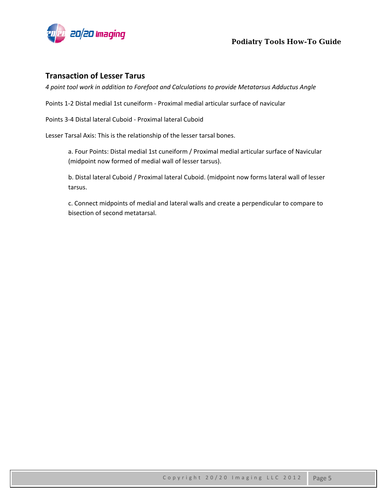

#### **Transaction of Lesser Tarus**

*4 point tool work in addition to Forefoot and Calculations to provide Metatarsus Adductus Angle*

Points 1‐2 Distal medial 1st cuneiform ‐ Proximal medial articular surface of navicular

Points 3‐4 Distal lateral Cuboid ‐ Proximal lateral Cuboid

Lesser Tarsal Axis: This is the relationship of the lesser tarsal bones.

a. Four Points: Distal medial 1st cuneiform / Proximal medial articular surface of Navicular (midpoint now formed of medial wall of lesser tarsus).

b. Distal lateral Cuboid / Proximal lateral Cuboid. (midpoint now forms lateral wall of lesser tarsus.

c. Connect midpoints of medial and lateral walls and create a perpendicular to compare to bisection of second metatarsal.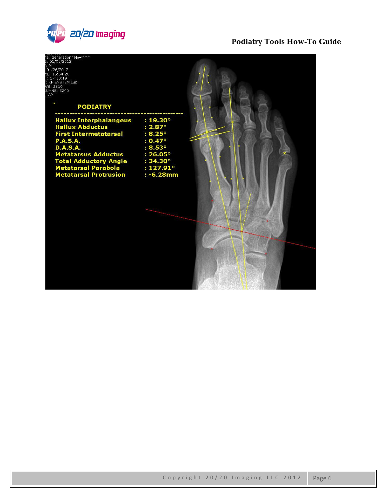

# **Podiatry Tools How-To Guide**

| e: Generation^New^^^<br>: 01/01/2012<br>M<br>01/26/2012<br>E: 15:54:20<br>: 17:10:19<br>RF SYSTEM Lab<br>VS: 2610<br>UMNS: 3240<br>AP<br><b>PODIATRY</b>                                                                                                  |                                                                                                                                                       |  |
|-----------------------------------------------------------------------------------------------------------------------------------------------------------------------------------------------------------------------------------------------------------|-------------------------------------------------------------------------------------------------------------------------------------------------------|--|
| <b>Hallux Interphalangeus</b><br><b>Hallux Abductus</b><br><b>First Intermetatarsal</b><br><b>P.A.S.A.</b><br><b>D.A.S.A.</b><br><b>Metatarsus Adductus</b><br><b>Total Adductory Angle</b><br><b>Metatarsal Parabola</b><br><b>Metatarsal Protrusion</b> | $: 19.30^{\circ}$<br>$: 2.87^{\circ}$<br>$: 8.25^{\circ}$<br>$: 0.47^{\circ}$<br>: 8.53°<br>: 26.05°<br>: 34.30°<br>$: 127.91^{\circ}$<br>$: -6.28mm$ |  |
|                                                                                                                                                                                                                                                           |                                                                                                                                                       |  |